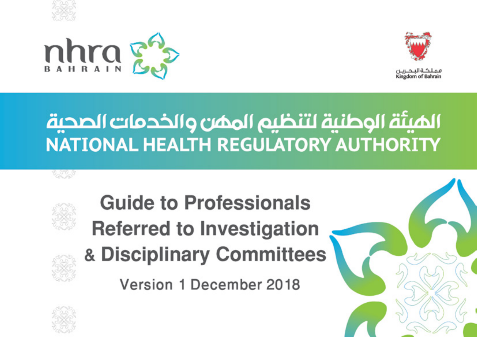





# الميئة الوطنية لتنظيم الممن والخدمات الصحية NATIONAL HEALTH REGULATORY AUTHORITY



್ಡಿಲ್ಲಾ

# **Guide to Professionals Referred to Investigation** & Disciplinary Committees

Version 1 December 2018



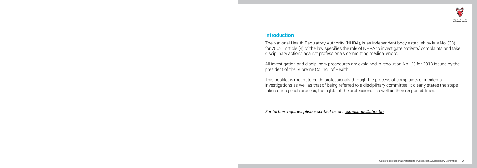#### **Introduction**

The National Health Regulatory Authority (NHRA), is an independent body establish by law No. (38) for 2009. Article (4) of the law specifies the role of NHRA to investigate patients' complaints and take disciplinary actions against professionals committing medical errors.

All investigation and disciplinary procedures are explained in resolution No. (1) for 2018 issued by the president of the Supreme Council of Health.

This booklet is meant to guide professionals through the process of complaints or incidents investigations as well as that of being referred to a disciplinary committee. It clearly states the steps taken during each process, the rights of the professional, as well as their responsibilities.

*For further inquiries please contact us on: complaints@nhra.bh*

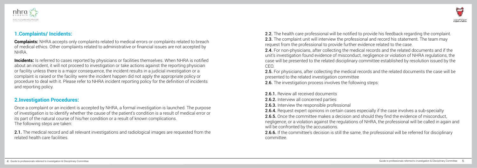

#### **1.Complaints/ Incidents:**

**Complaints:** NHRA accepts only complaints related to medical errors or complaints related to breach of medical ethics. Other complaints related to administrative or financial issues are not accepted by NHRA.

**Incidents:** Is referred to cases reported by physicians or facilities themselves. When NHRA is notified about an incident, it will not proceed to investigation or take actions against the reporting physician or facility unless there is a major consequence, the incident results in a judicial investigation or a complaint is raised or the facility were the incident happen did not apply the appropriate policy or procedure to deal with it. Please refer to NHRA incident reporting policy for the definition of incidents and reporting policy.

2.1. The medical record and all relevant investigations and radiological images are requested from the related health care facilities.

#### **2.Investigation Procedures:**

2.2. The health care professional will be notified to provide his feedback regarding the complaint. 2.3. The complaint unit will interview the professional and record his statement. The team may request from the professional to provide further evidence related to the case. 2.4. For non-physicians, after collecting the medical records and the related documents and if the unit's investigation found evidence of misconduct, negligence or violation of NHRA regulations, the case will be presented to the related disciplinary committee established by resolution issued by the CEO.

2.5. For physicians, after collecting the medical records and the related documents the case will be presented to the related investigation committee 2.6. The investigation process involves the following steps:

- 2.6.1. Review all received documents
- 2.6.2. Interview all concerned parties
- 2.6.3. Interview the responsible professional
- 

2.6.4. Request expert opinions in certain cases especially if the case involves a sub-specialty **2.6.5.** Once the committee makes a decision and should they find the evidence of misconduct, negligence, or a violation against the regulations of NHRA, the professional will be called in again and will be confronted by the accusations.

Once a complaint or an incident is accepted by NHRA, a formal investigation is launched. The purpose of investigation is to identify whether the cause of the patient's condition is a result of medical error or its part of the natural course of his/her condition or a result of known complications. The following steps are taken:

> 2.6.6. If the committee's decision is still the same, the professional will be referred for disciplinary committee.

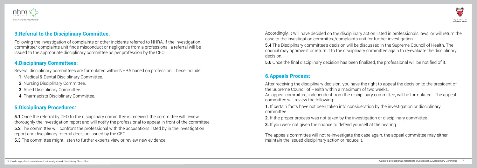

#### **3.Referral to the Disciplinary Committee:**

Following the investigation of complaints or other incidents referred to NHRA, if the investigation committee/ complaints unit finds misconduct or negligence from a professional, a referral will be issued to the appropriate disciplinary committee as per profession by the CEO.

#### **4.Disciplinary Committees:**

**5.1** Once the referral by CEO to the disciplinary committee is received, the committee will review thoroughly the investigation report and will notify the professional to appear in front of the committee.

Several disciplinary committees are formulated within NHRA based on profession. These include:

**5.2** The committee will confront the professional with the accusations listed by in the investigation report and disciplinary referral decision issued by the CEO.

- 1. Medical & Dental Disciplinary Committee.
- 2. Nursing Disciplinary Committee.
- 3. Allied Disciplinary Committee.
- 4. Pharmacists Disciplinary Committee.

## **5.Disciplinary Procedures:**

5.3 The committee might listen to further experts view or review new evidence.

case to the investigation committee/complaints unit for further investigation.

5.4 The Disciplinary committee's decision will be discussed in the Supreme Council of Health. The decision.

- Accordingly, it will have decided on the disciplinary action listed in professionals laws, or will return the
- council may approve it or return it to the disciplinary committee again to re-evaluate the disciplinary
	-
- After receiving the disciplinary decision, you have the right to appeal the decision to the president of
	-
	-

5.6 Once the final disciplinary decision has been finalized, the professional will be notified of it.

### **6.Appeals Process:**

the Supreme Council of Health within a maximum of two weeks. An appeal committee, independent from the disciplinary committee, will be formulated. The appeal committee will review the following:

1. If certain facts have not been taken into consideration by the investigation or disciplinary committee

- 2. If the proper process was not taken by the investigation or disciplinary committee **3.** If you were not given the chance to defend yourself at the hearing
- 

The appeals committee will not re-investigate the case again, the appeal committee may either maintain the issued disciplinary action or reduce it.

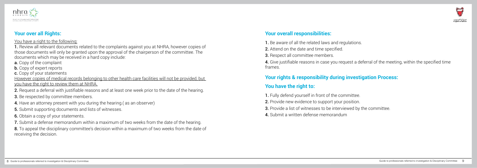

#### **Your over all Rights:**

#### You have a right to the following:

However copies of medical records belonging to other health care facilities will not be provided, but you have the right to review them at NHRA.

1. Review all relevant documents related to the complaints against you at NHRA, however copies of those documents will only be granted upon the approval of the chairperson of the committee. The documents which may be received in a hard copy include:

- a. Copy of the complaint
- **b.** Copy of expert reports
- c. Copy of your statements

8. To appeal the disciplinary committee's decision within a maximum of two weeks from the date of receiving the decision.

- 2. Request a deferral with justifiable reasons and at least one week prior to the date of the hearing.
- **3.** Be respected by committee members.
- 4. Have an attorney present with you during the hearing.( as an observer)
- 5. Submit supporting documents and lists of witnesses.
- 6. Obtain a copy of your statements.
- 7. Submit a defense memorandum within a maximum of two weeks from the date of the hearing.

#### **Your overall responsibilities:**

- 1. Be aware of all the related laws and regulations.
- 2. Attend on the date and time specified.
- 3. Respect all committee members.

4. Give justifiable reasons in case you request a deferral of the meeting, within the specified time frames.

# **Your rights & responsibility during investigation Process:**

## **You have the right to:**

- 1. Fully defend yourself in front of the committee.
- 2. Provide new evidence to support your position.
- 3. Provide a list of witnesses to be interviewed by the committee.
- 4. Submit a written defense memorandum



بملكة البحريين Kingdom of Bahrain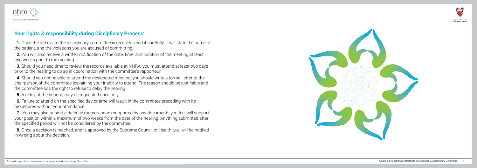

#### **Your rights & responsibility during Disciplinary Process:**

1. Once the referral to the disciplinary committee is received, read it carefully, it will state the name of the patient, and the violations you are accused of committing.

**3.** Should you need time to review the records available at NHRA, you must attend at least two days prior to the hearing to do so in coordination with the committee's rapporteur.

2. You will also receive a written notification of the date, time, and location of the meeting at least two weeks prior to the meeting.

8. Once a decision is reached, and is approved by the Supreme Council of Health, you will be notified in writing about the decision.





فملكة البحيرين Kingdom of Bahrain

4. Should you not be able to attend the designated meeting, you should write a formal letter to the chairperson of the committee explaining your inability to attend. The reason should be justifiable and the committee has the right to refuse to delay the hearing.

5. A delay of the hearing may be requested once only.

6. Failure to attend on the specified day or time will result in the committee preceding with its procedures without your attendance.

7. You may also submit a defense memorandum supported by any documents you feel will support your position within a maximum of two weeks from the date of the hearing. Anything submitted after the specified period will not be considered by the committee.